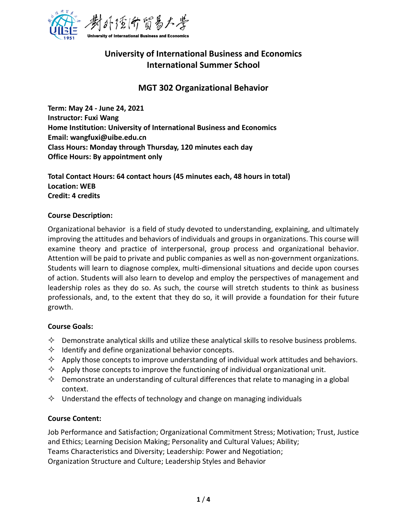

# **University of International Business and Economics International Summer School**

# **MGT 302 Organizational Behavior**

**Term: May 24 - June 24, 2021 Instructor: Fuxi Wang Home Institution: University of International Business and Economics Email: wangfuxi@uibe.edu.cn Class Hours: Monday through Thursday, 120 minutes each day Office Hours: By appointment only** 

**Total Contact Hours: 64 contact hours (45 minutes each, 48 hours in total) Location: WEB Credit: 4 credits**

#### **Course Description:**

Organizational behavior is a field of study devoted to understanding, explaining, and ultimately improving the attitudes and behaviors of individuals and groups in organizations. This course will examine theory and practice of interpersonal, group process and organizational behavior. Attention will be paid to private and public companies as well as non-government organizations. Students will learn to diagnose complex, multi-dimensional situations and decide upon courses of action. Students will also learn to develop and employ the perspectives of management and leadership roles as they do so. As such, the course will stretch students to think as business professionals, and, to the extent that they do so, it will provide a foundation for their future growth.

#### **Course Goals:**

- $\Diamond$  Demonstrate analytical skills and utilize these analytical skills to resolve business problems.
- $\Diamond$  Identify and define organizational behavior concepts.
- $\Diamond$  Apply those concepts to improve understanding of individual work attitudes and behaviors.
- $\Diamond$  Apply those concepts to improve the functioning of individual organizational unit.
- $\Diamond$  Demonstrate an understanding of cultural differences that relate to managing in a global context.
- $\Diamond$  Understand the effects of technology and change on managing individuals

#### **Course Content:**

Job Performance and Satisfaction; Organizational Commitment Stress; Motivation; Trust, Justice and Ethics; Learning Decision Making; Personality and Cultural Values; Ability; Teams Characteristics and Diversity; Leadership: Power and Negotiation; Organization Structure and Culture; Leadership Styles and Behavior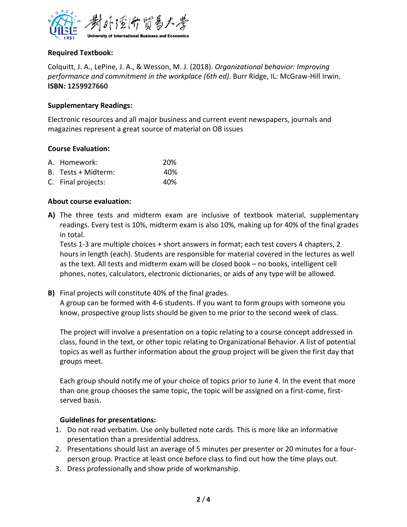

# **Required Textbook:**

Colquitt, J. A., LePine, J. A., & Wesson, M. J. (2018). *Organizational behavior: Improving performance and commitment in the workplace (6th ed)*. Burr Ridge, IL: McGraw-Hill Irwin. **ISBN: 1259927660**

# **Supplementary Readings:**

Electronic resources and all major business and current event newspapers, journals and magazines represent a great source of material on OB issues

#### **Course Evaluation:**

| A. Homework:        | <b>20%</b> |
|---------------------|------------|
| B. Tests + Midterm: | 40%        |
| C. Final projects:  | 40%        |

# **About course evaluation:**

**A)** The three tests and midterm exam are inclusive of textbook material, supplementary readings. Every test is 10%, midterm exam is also 10%, making up for 40% of the final grades in total.

Tests 1-3 are multiple choices + short answers in format; each test covers 4 chapters, 2 hours in length (each). Students are responsible for material covered in the lectures as well as the text. All tests and midterm exam will be closed book – no books, intelligent cell phones, notes, calculators, electronic dictionaries, or aids of any type will be allowed.

**B)** Final projects will constitute 40% of the final grades. A group can be formed with 4-6 students. If you want to form groups with someone you know, prospective group lists should be given to me prior to the second week of class.

The project will involve a presentation on a topic relating to a course concept addressed in class, found in the text, or other topic relating to Organizational Behavior. A list of potential topics as well as further information about the group project will be given the first day that groups meet.

Each group should notify me of your choice of topics prior to June 4. In the event that more than one group chooses the same topic, the topic will be assigned on a first-come, firstserved basis.

#### **Guidelines for presentations:**

- 1. Do not read verbatim. Use only bulleted note cards. This is more like an informative presentation than a presidential address.
- 2. Presentations should last an average of 5 minutes per presenter or 20 minutes for a fourperson group. Practice at least once before class to find out how the time plays out.
- 3. Dress professionally and show pride of workmanship.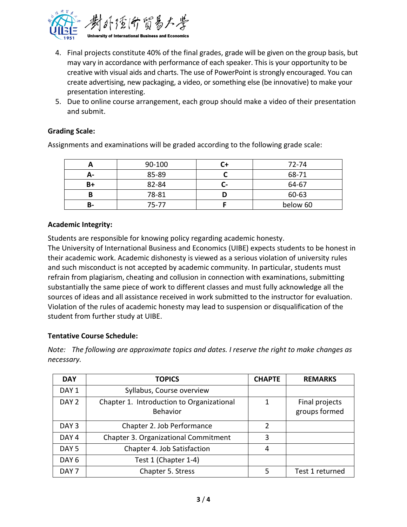

- 4. Final projects constitute 40% of the final grades, grade will be given on the group basis, but may vary in accordance with performance of each speaker. This is your opportunity to be creative with visual aids and charts. The use of PowerPoint is strongly encouraged. You can create advertising, new packaging, a video, or something else (be innovative) to make your presentation interesting.
- 5. Due to online course arrangement, each group should make a video of their presentation and submit.

# **Grading Scale:**

Assignments and examinations will be graded according to the following grade scale:

|    | 90-100 |   | 72-74    |
|----|--------|---|----------|
|    | 85-89  |   | 68-71    |
| B+ | 82-84  | - | 64-67    |
| В  | 78-81  |   | 60-63    |
| в- | 75-77  |   | below 60 |

#### **Academic Integrity:**

Students are responsible for knowing policy regarding academic honesty.

The University of International Business and Economics (UIBE) expects students to be honest in their academic work. Academic dishonesty is viewed as a serious violation of university rules and such misconduct is not accepted by academic community. In particular, students must refrain from plagiarism, cheating and collusion in connection with examinations, submitting substantially the same piece of work to different classes and must fully acknowledge all the sources of ideas and all assistance received in work submitted to the instructor for evaluation. Violation of the rules of academic honesty may lead to suspension or disqualification of the student from further study at UIBE.

#### **Tentative Course Schedule:**

*Note: The following are approximate topics and dates. I reserve the right to make changes as necessary.*

| <b>DAY</b>       | <b>TOPICS</b>                                                | <b>CHAPTE</b> | <b>REMARKS</b>                  |
|------------------|--------------------------------------------------------------|---------------|---------------------------------|
| DAY <sub>1</sub> | Syllabus, Course overview                                    |               |                                 |
| DAY <sub>2</sub> | Chapter 1. Introduction to Organizational<br><b>Behavior</b> | 1             | Final projects<br>groups formed |
| DAY <sub>3</sub> | Chapter 2. Job Performance                                   | 2             |                                 |
| DAY <sub>4</sub> | Chapter 3. Organizational Commitment                         | 3             |                                 |
| DAY <sub>5</sub> | Chapter 4. Job Satisfaction                                  | 4             |                                 |
| DAY <sub>6</sub> | Test 1 (Chapter 1-4)                                         |               |                                 |
| DAY <sub>7</sub> | Chapter 5. Stress                                            | 5             | Test 1 returned                 |